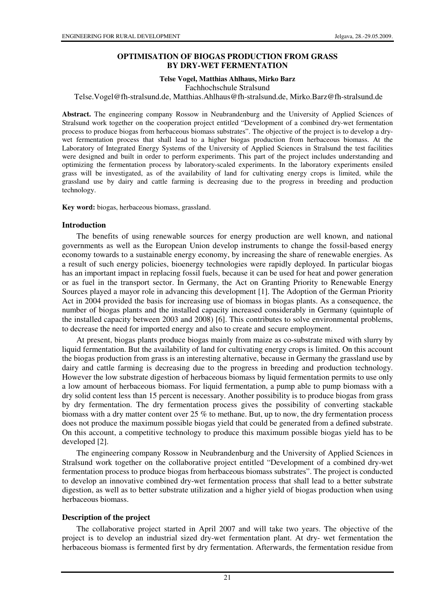### **OPTIMISATION OF BIOGAS PRODUCTION FROM GRASS BY DRY-WET FERMENTATION**

#### **Telse Vogel, Matthias Ahlhaus, Mirko Barz**

Fachhochschule Stralsund

Telse.Vogel@fh-stralsund.de, Matthias.Ahlhaus@fh-stralsund.de, Mirko.Barz@fh-stralsund.de

**Abstract.** The engineering company Rossow in Neubrandenburg and the University of Applied Sciences of Stralsund work together on the cooperation project entitled "Development of a combined dry-wet fermentation process to produce biogas from herbaceous biomass substrates". The objective of the project is to develop a drywet fermentation process that shall lead to a higher biogas production from herbaceous biomass. At the Laboratory of Integrated Energy Systems of the University of Applied Sciences in Stralsund the test facilities were designed and built in order to perform experiments. This part of the project includes understanding and optimizing the fermentation process by laboratory-scaled experiments. In the laboratory experiments ensiled grass will be investigated, as of the availability of land for cultivating energy crops is limited, while the grassland use by dairy and cattle farming is decreasing due to the progress in breeding and production technology.

**Key word:** biogas, herbaceous biomass, grassland.

#### **Introduction**

The benefits of using renewable sources for energy production are well known, and national governments as well as the European Union develop instruments to change the fossil-based energy economy towards to a sustainable energy economy, by increasing the share of renewable energies. As a result of such energy policies, bioenergy technologies were rapidly deployed. In particular biogas has an important impact in replacing fossil fuels, because it can be used for heat and power generation or as fuel in the transport sector. In Germany, the Act on Granting Priority to Renewable Energy Sources played a mayor role in advancing this development [1]. The Adoption of the German Priority Act in 2004 provided the basis for increasing use of biomass in biogas plants. As a consequence, the number of biogas plants and the installed capacity increased considerably in Germany (quintuple of the installed capacity between 2003 and 2008) [6]. This contributes to solve environmental problems, to decrease the need for imported energy and also to create and secure employment.

At present, biogas plants produce biogas mainly from maize as co-substrate mixed with slurry by liquid fermentation. But the availability of land for cultivating energy crops is limited. On this account the biogas production from grass is an interesting alternative, because in Germany the grassland use by dairy and cattle farming is decreasing due to the progress in breeding and production technology. However the low substrate digestion of herbaceous biomass by liquid fermentation permits to use only a low amount of herbaceous biomass. For liquid fermentation, a pump able to pump biomass with a dry solid content less than 15 percent is necessary. Another possibility is to produce biogas from grass by dry fermentation. The dry fermentation process gives the possibility of converting stackable biomass with a dry matter content over 25 % to methane. But, up to now, the dry fermentation process does not produce the maximum possible biogas yield that could be generated from a defined substrate. On this account, a competitive technology to produce this maximum possible biogas yield has to be developed [2].

The engineering company Rossow in Neubrandenburg and the University of Applied Sciences in Stralsund work together on the collaborative project entitled "Development of a combined dry-wet fermentation process to produce biogas from herbaceous biomass substrates". The project is conducted to develop an innovative combined dry-wet fermentation process that shall lead to a better substrate digestion, as well as to better substrate utilization and a higher yield of biogas production when using herbaceous biomass.

#### **Description of the project**

The collaborative project started in April 2007 and will take two years. The objective of the project is to develop an industrial sized dry-wet fermentation plant. At dry- wet fermentation the herbaceous biomass is fermented first by dry fermentation. Afterwards, the fermentation residue from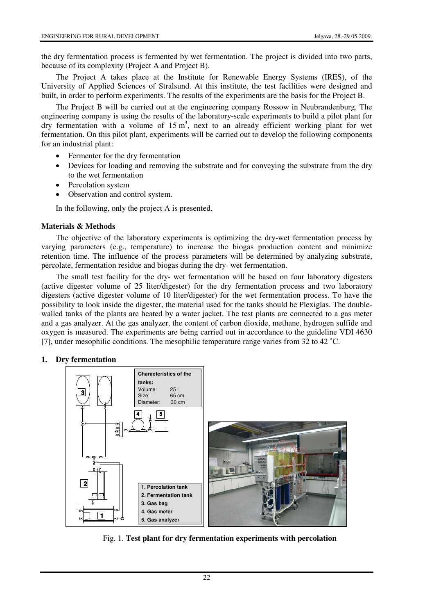the dry fermentation process is fermented by wet fermentation. The project is divided into two parts, because of its complexity (Project A and Project B).

The Project A takes place at the Institute for Renewable Energy Systems (IRES), of the University of Applied Sciences of Stralsund. At this institute, the test facilities were designed and built, in order to perform experiments. The results of the experiments are the basis for the Project B.

The Project B will be carried out at the engineering company Rossow in Neubrandenburg. The engineering company is using the results of the laboratory-scale experiments to build a pilot plant for dry fermentation with a volume of  $15 \text{ m}^3$ , next to an already efficient working plant for wet fermentation. On this pilot plant, experiments will be carried out to develop the following components for an industrial plant:

- Fermenter for the dry fermentation
- Devices for loading and removing the substrate and for conveying the substrate from the dry to the wet fermentation
- Percolation system
- Observation and control system.

In the following, only the project A is presented.

### **Materials & Methods**

The objective of the laboratory experiments is optimizing the dry-wet fermentation process by varying parameters (e.g., temperature) to increase the biogas production content and minimize retention time. The influence of the process parameters will be determined by analyzing substrate, percolate, fermentation residue and biogas during the dry- wet fermentation.

The small test facility for the dry- wet fermentation will be based on four laboratory digesters (active digester volume of 25 liter/digester) for the dry fermentation process and two laboratory digesters (active digester volume of 10 liter/digester) for the wet fermentation process. To have the possibility to look inside the digester, the material used for the tanks should be Plexiglas. The doublewalled tanks of the plants are heated by a water jacket. The test plants are connected to a gas meter and a gas analyzer. At the gas analyzer, the content of carbon dioxide, methane, hydrogen sulfide and oxygen is measured. The experiments are being carried out in accordance to the guideline VDI 4630 [7], under mesophilic conditions. The mesophilic temperature range varies from 32 to 42 ˚C.

## **1. Dry fermentation**



Fig. 1. **Test plant for dry fermentation experiments with percolation**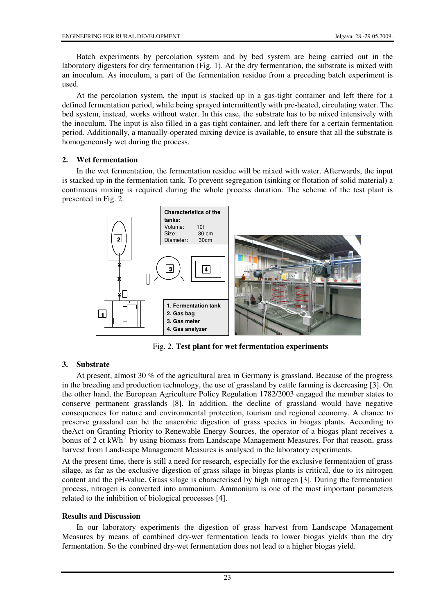Batch experiments by percolation system and by bed system are being carried out in the laboratory digesters for dry fermentation (Fig. 1). At the dry fermentation, the substrate is mixed with an inoculum. As inoculum, a part of the fermentation residue from a preceding batch experiment is used.

At the percolation system, the input is stacked up in a gas-tight container and left there for a defined fermentation period, while being sprayed intermittently with pre-heated, circulating water. The bed system, instead, works without water. In this case, the substrate has to be mixed intensively with the inoculum. The input is also filled in a gas-tight container, and left there for a certain fermentation period. Additionally, a manually-operated mixing device is available, to ensure that all the substrate is homogeneously wet during the process.

## **2. Wet fermentation**

In the wet fermentation, the fermentation residue will be mixed with water. Afterwards, the input is stacked up in the fermentation tank. To prevent segregation (sinking or flotation of solid material) a continuous mixing is required during the whole process duration. The scheme of the test plant is presented in Fig. 2.



Fig. 2. **Test plant for wet fermentation experiments**

# **3. Substrate**

At present, almost 30 % of the agricultural area in Germany is grassland. Because of the progress in the breeding and production technology, the use of grassland by cattle farming is decreasing [3]. On the other hand, the European Agriculture Policy Regulation 1782/2003 engaged the member states to conserve permanent grasslands [8]. In addition, the decline of grassland would have negative consequences for nature and environmental protection, tourism and regional economy. A chance to preserve grassland can be the anaerobic digestion of grass species in biogas plants. According to theAct on Granting Priority to Renewable Energy Sources, the operator of a biogas plant receives a bonus of 2 ct kWh<sup>-1</sup> by using biomass from Landscape Management Measures. For that reason, grass harvest from Landscape Management Measures is analysed in the laboratory experiments.

At the present time, there is still a need for research, especially for the exclusive fermentation of grass silage, as far as the exclusive digestion of grass silage in biogas plants is critical, due to its nitrogen content and the pH-value. Grass silage is characterised by high nitrogen [3]. During the fermentation process, nitrogen is converted into ammonium. Ammonium is one of the most important parameters related to the inhibition of biological processes [4].

## **Results and Discussion**

In our laboratory experiments the digestion of grass harvest from Landscape Management Measures by means of combined dry-wet fermentation leads to lower biogas yields than the dry fermentation. So the combined dry-wet fermentation does not lead to a higher biogas yield.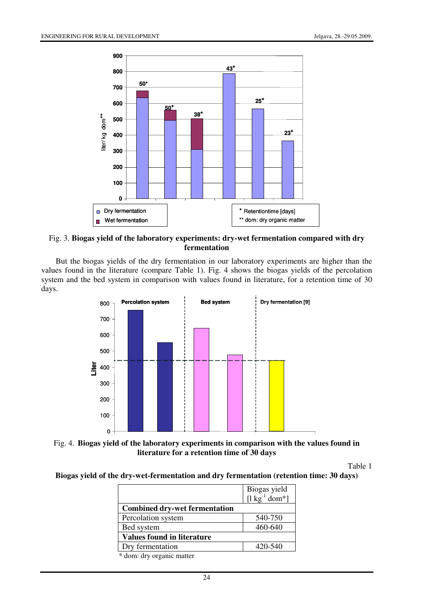

Fig. 3. **Biogas yield of the laboratory experiments: dry-wet fermentation compared with dry fermentation**

But the biogas yields of the dry fermentation in our laboratory experiments are higher than the values found in the literature (compare Table 1). Fig. 4 shows the biogas yields of the percolation system and the bed system in comparison with values found in literature, for a retention time of 30 days.





Table 1

**Biogas yield of the dry-wet-fermentation and dry fermentation (retention time: 30 days)** 

|                                      | Biogas yield<br>[ $\lg^{-1}$ dom*] |
|--------------------------------------|------------------------------------|
| <b>Combined dry-wet fermentation</b> |                                    |
| Percolation system                   | 540-750                            |
| Bed system                           | 460-640                            |
| <b>Values found in literature</b>    |                                    |
| Dry fermentation                     | 420-540                            |
| * dame deu organic mottor            |                                    |

\* dom: dry organic matter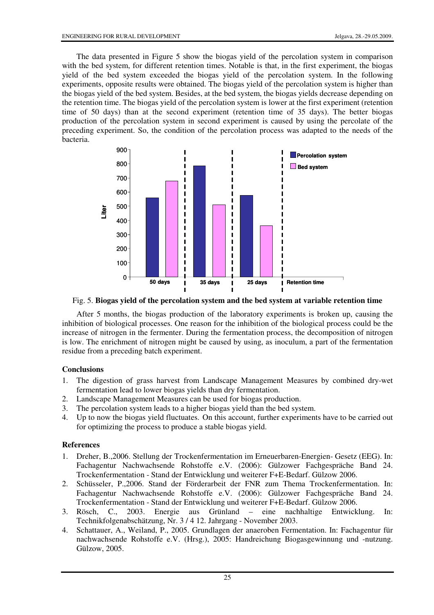The data presented in Figure 5 show the biogas yield of the percolation system in comparison with the bed system, for different retention times. Notable is that, in the first experiment, the biogas yield of the bed system exceeded the biogas yield of the percolation system. In the following experiments, opposite results were obtained. The biogas yield of the percolation system is higher than the biogas yield of the bed system. Besides, at the bed system, the biogas yields decrease depending on the retention time. The biogas yield of the percolation system is lower at the first experiment (retention time of 50 days) than at the second experiment (retention time of 35 days). The better biogas production of the percolation system in second experiment is caused by using the percolate of the preceding experiment. So, the condition of the percolation process was adapted to the needs of the bacteria.



Fig. 5. **Biogas yield of the percolation system and the bed system at variable retention time**

After 5 months, the biogas production of the laboratory experiments is broken up, causing the inhibition of biological processes. One reason for the inhibition of the biological process could be the increase of nitrogen in the fermenter. During the fermentation process, the decomposition of nitrogen is low. The enrichment of nitrogen might be caused by using, as inoculum, a part of the fermentation residue from a preceding batch experiment.

## **Conclusions**

- 1. The digestion of grass harvest from Landscape Management Measures by combined dry-wet fermentation lead to lower biogas yields than dry fermentation.
- 2. Landscape Management Measures can be used for biogas production.
- 3. The percolation system leads to a higher biogas yield than the bed system.
- 4. Up to now the biogas yield fluctuates. On this account, further experiments have to be carried out for optimizing the process to produce a stable biogas yield.

## **References**

- 1. Dreher, B.,2006. Stellung der Trockenfermentation im Erneuerbaren-Energien- Gesetz (EEG). In: Fachagentur Nachwachsende Rohstoffe e.V. (2006): Gülzower Fachgespräche Band 24. Trockenfermentation - Stand der Entwicklung und weiterer F+E-Bedarf. Gülzow 2006.
- 2. Schüsseler, P.,2006. Stand der Förderarbeit der FNR zum Thema Trockenfermentation. In: Fachagentur Nachwachsende Rohstoffe e.V. (2006): Gülzower Fachgespräche Band 24. Trockenfermentation - Stand der Entwicklung und weiterer F+E-Bedarf. Gülzow 2006.
- 3. Rösch, C., 2003. Energie aus Grünland eine nachhaltige Entwicklung. In: Technikfolgenabschätzung, Nr. 3 / 4 12. Jahrgang - November 2003.
- 4. Schattauer, A., Weiland, P., 2005. Grundlagen der anaeroben Fermentation. In: Fachagentur für nachwachsende Rohstoffe e.V. (Hrsg.), 2005: Handreichung Biogasgewinnung und -nutzung. Gülzow, 2005.